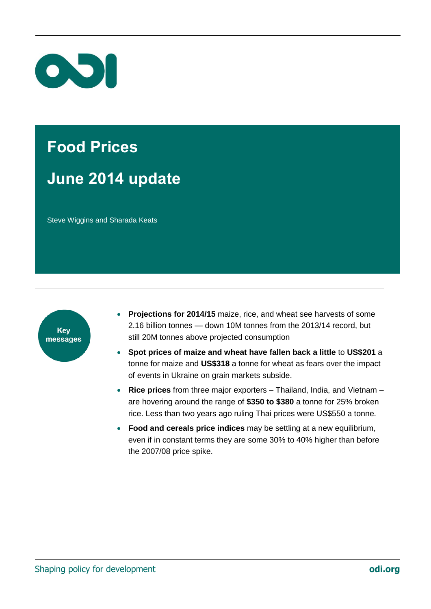

# **Food Prices June 2014 update**

Steve Wiggins and Sharada Keats



- **Projections for 2014/15** maize, rice, and wheat see harvests of some 2.16 billion tonnes — down 10M tonnes from the 2013/14 record, but still 20M tonnes above projected consumption
- **Spot prices of maize and wheat have fallen back a little** to **US\$201** a tonne for maize and **US\$318** a tonne for wheat as fears over the impact of events in Ukraine on grain markets subside.
- **Rice prices** from three major exporters Thailand, India, and Vietnam are hovering around the range of **\$350 to \$380** a tonne for 25% broken rice. Less than two years ago ruling Thai prices were US\$550 a tonne.
- **Food and cereals price indices** may be settling at a new equilibrium, even if in constant terms they are some 30% to 40% higher than before the 2007/08 price spike.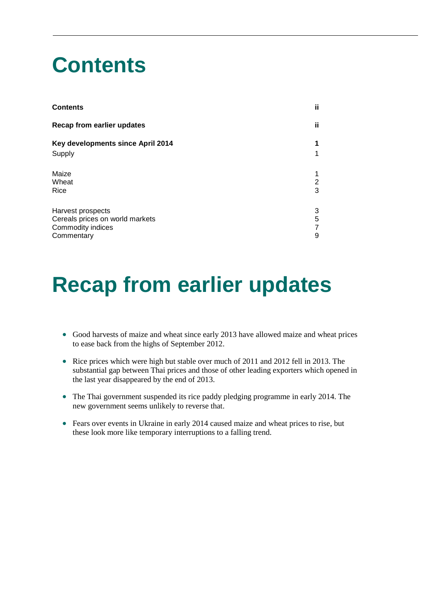# <span id="page-1-0"></span>**Contents**

| <b>Contents</b>                   | ii. |
|-----------------------------------|-----|
| Recap from earlier updates        | ii. |
| Key developments since April 2014 | 1   |
| Supply                            | 1   |
| Maize                             |     |
| Wheat                             | 2   |
| Rice                              | 3   |
| Harvest prospects                 | 3   |
| Cereals prices on world markets   | 5   |
| Commodity indices                 | 7   |
| Commentary                        | 9   |

## <span id="page-1-1"></span>**Recap from earlier updates**

- Good harvests of maize and wheat since early 2013 have allowed maize and wheat prices to ease back from the highs of September 2012.
- Rice prices which were high but stable over much of 2011 and 2012 fell in 2013. The substantial gap between Thai prices and those of other leading exporters which opened in the last year disappeared by the end of 2013.
- The Thai government suspended its rice paddy pledging programme in early 2014. The new government seems unlikely to reverse that.
- Fears over events in Ukraine in early 2014 caused maize and wheat prices to rise, but these look more like temporary interruptions to a falling trend.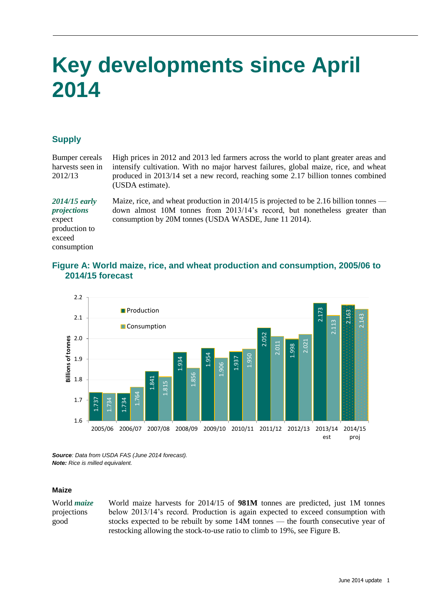# <span id="page-2-0"></span>**Key developments since April 2014**

## <span id="page-2-1"></span>**Supply**

consumption

Bumper cereals harvests seen in 2012/13 High prices in 2012 and 2013 led farmers across the world to plant greater areas and intensify cultivation. With no major harvest failures, global maize, rice, and wheat produced in 2013/14 set a new record, reaching some 2.17 billion tonnes combined (USDA estimate). *2014/15 early projections* expect production to exceed Maize, rice, and wheat production in 2014/15 is projected to be 2.16 billion tonnes down almost 10M tonnes from 2013/14's record, but nonetheless greater than consumption by 20M tonnes (USDA WASDE, June 11 2014).

#### **Figure A: World maize, rice, and wheat production and consumption, 2005/06 to 2014/15 forecast**



*Source: Data from USDA FAS (June 2014 forecast). Note: Rice is milled equivalent.* 

#### <span id="page-2-2"></span>**Maize**

World *maize* projections good

World maize harvests for 2014/15 of **981M** tonnes are predicted, just 1M tonnes below 2013/14's record. Production is again expected to exceed consumption with stocks expected to be rebuilt by some 14M tonnes — the fourth consecutive year of restocking allowing the stock-to-use ratio to climb to 19%, see Figure B.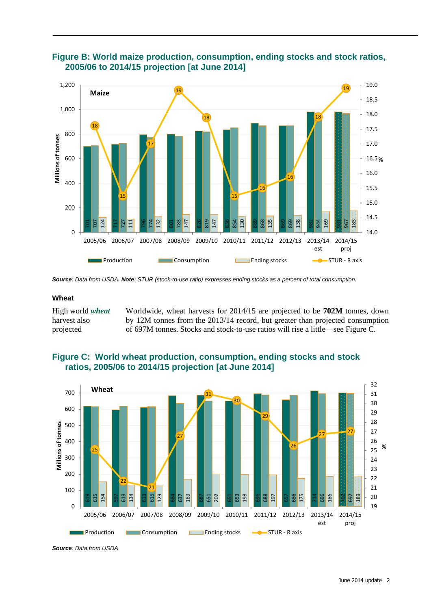

### **Figure B: World maize production, consumption, ending stocks and stock ratios, 2005/06 to 2014/15 projection [at June 2014]**

<span id="page-3-0"></span>*Source: Data from USDA. Note: STUR (stock-to-use ratio) expresses ending stocks as a percent of total consumption.* 

#### **Wheat**

High world *wheat* harvest also projected Worldwide, wheat harvests for 2014/15 are projected to be **702M** tonnes, down by 12M tonnes from the 2013/14 record, but greater than projected consumption of 697M tonnes. Stocks and stock-to-use ratios will rise a little – see Figure C.



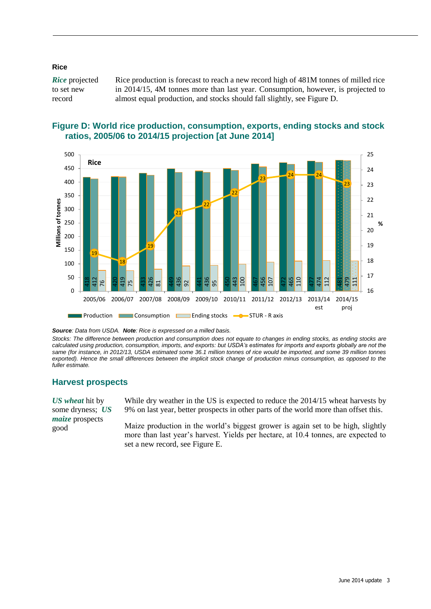#### <span id="page-4-0"></span>**Rice**

*Rice* projected to set new record Rice production is forecast to reach a new record high of 481M tonnes of milled rice in 2014/15, 4M tonnes more than last year. Consumption, however, is projected to almost equal production, and stocks should fall slightly, see Figure D.



#### **Figure D: World rice production, consumption, exports, ending stocks and stock ratios, 2005/06 to 2014/15 projection [at June 2014]**

*Source: Data from USDA. Note: Rice is expressed on a milled basis.* 

*Stocks: The difference between production and consumption does not equate to changes in ending stocks, as ending stocks are calculated using production, consumption, imports, and exports: but USDA's estimates for imports and exports globally are not the same (for instance, in 2012/13, USDA estimated some 36.1 million tonnes of rice would be imported, and some 39 million tonnes*  exported). Hence the small differences between the implicit stock change of production minus consumption, as opposed to the *fuller estimate.* 

#### <span id="page-4-1"></span>**Harvest prospects**

*US wheat* hit by some dryness; *US maize* prospects good

While dry weather in the US is expected to reduce the 2014/15 wheat harvests by 9% on last year, better prospects in other parts of the world more than offset this.

Maize production in the world's biggest grower is again set to be high, slightly more than last year's harvest. Yields per hectare, at 10.4 tonnes, are expected to set a new record, see Figure E.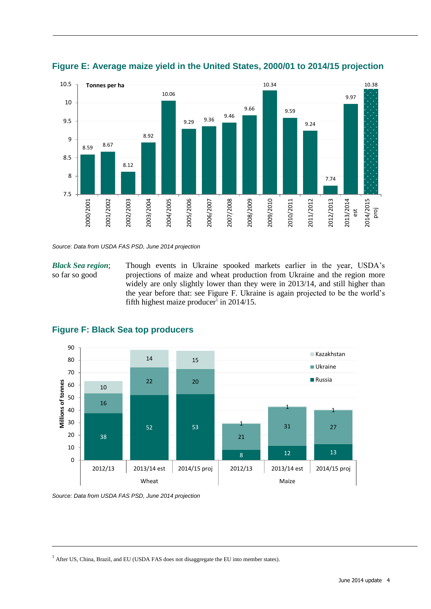



*Source: Data from USDA FAS PSD, June 2014 projection*

*Black Sea region*; so far so good

Though events in Ukraine spooked markets earlier in the year, USDA's projections of maize and wheat production from Ukraine and the region more widely are only slightly lower than they were in 2013/14, and still higher than the year before that: see Figure F. Ukraine is again projected to be the world's fifth highest maize producer<sup>1</sup> in  $2014/15$ .



## **Figure F: Black Sea top producers**

*Source: Data from USDA FAS PSD, June 2014 projection*

<sup>1</sup> After US, China, Brazil, and EU (USDA FAS does not disaggregate the EU into member states).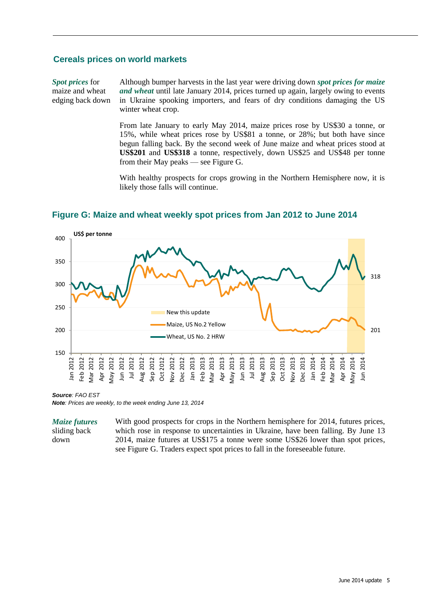#### <span id="page-6-0"></span>**Cereals prices on world markets**

*Spot prices* for maize and wheat edging back down Although bumper harvests in the last year were driving down *spot prices for maize and wheat* until late January 2014, prices turned up again, largely owing to events in Ukraine spooking importers, and fears of dry conditions damaging the US winter wheat crop.

> From late January to early May 2014, maize prices rose by US\$30 a tonne, or 15%, while wheat prices rose by US\$81 a tonne, or 28%; but both have since begun falling back. By the second week of June maize and wheat prices stood at **US\$201** and **US\$318** a tonne, respectively, down US\$25 and US\$48 per tonne from their May peaks — see Figure G.

> With healthy prospects for crops growing in the Northern Hemisphere now, it is likely those falls will continue.



**Figure G: Maize and wheat weekly spot prices from Jan 2012 to June 2014**

*Source: FAO EST*

*Note: Prices are weekly, to the week ending June 13, 2014*

*Maize futures* sliding back down

With good prospects for crops in the Northern hemisphere for 2014, futures prices, which rose in response to uncertainties in Ukraine, have been falling. By June 13 2014, maize futures at US\$175 a tonne were some US\$26 lower than spot prices, see Figure G. Traders expect spot prices to fall in the foreseeable future.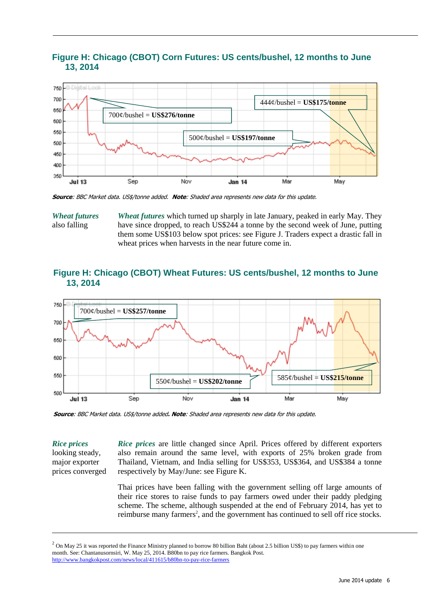

## **Figure H: Chicago (CBOT) Corn Futures: US cents/bushel, 12 months to June 13, 2014**

**Source**: BBC Market data. US\$/tonne added. **Note**: Shaded area represents new data for this update.

*Wheat futures* also falling *Wheat futures* which turned up sharply in late January, peaked in early May. They have since dropped, to reach US\$244 a tonne by the second week of June, putting them some US\$103 below spot prices: see Figure J. Traders expect a drastic fall in wheat prices when harvests in the near future come in.

#### **Figure H: Chicago (CBOT) Wheat Futures: US cents/bushel, 12 months to June 13, 2014**



**Source**: BBC Market data. US\$/tonne added**. Note**: Shaded area represents new data for this update.

*Rice prices* looking steady, major exporter prices converged

*Rice prices* are little changed since April. Prices offered by different exporters also remain around the same level, with exports of 25% broken grade from Thailand, Vietnam, and India selling for US\$353, US\$364, and US\$384 a tonne respectively by May/June: see Figure K.

Thai prices have been falling with the government selling off large amounts of their rice stores to raise funds to pay farmers owed under their paddy pledging scheme. The scheme, although suspended at the end of February 2014, has yet to reimburse many farmers<sup>2</sup>, and the government has continued to sell off rice stocks.

 $2$  On May 25 it was reported the Finance Ministry planned to borrow 80 billion Baht (about 2.5 billion US\$) to pay farmers within one month. See: Chantanusornsiri, W. May 25, 2014. B80bn to pay rice farmers. Bangkok Post. <http://www.bangkokpost.com/news/local/411615/b80bn-to-pay-rice-farmers>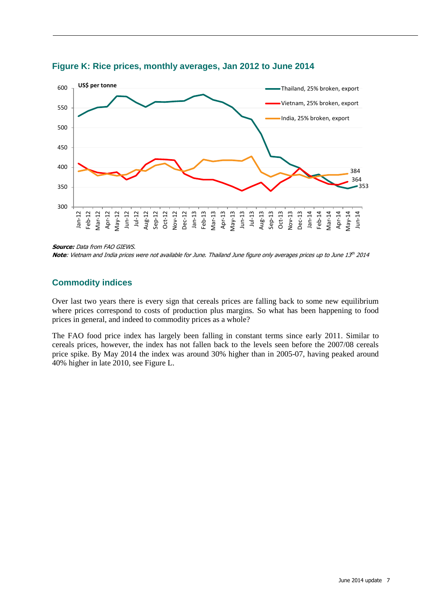

**Figure K: Rice prices, monthly averages, Jan 2012 to June 2014**

**Source:** Data from FAO GIEWS.

**Note**: Vietnam and India prices were not available for June. Thailand June figure only averages prices up to June 13<sup>th</sup> 2014

## <span id="page-8-0"></span>**Commodity indices**

Over last two years there is every sign that cereals prices are falling back to some new equilibrium where prices correspond to costs of production plus margins. So what has been happening to food prices in general, and indeed to commodity prices as a whole?

The FAO food price index has largely been falling in constant terms since early 2011. Similar to cereals prices, however, the index has not fallen back to the levels seen before the 2007/08 cereals price spike. By May 2014 the index was around 30% higher than in 2005-07, having peaked around 40% higher in late 2010, see Figure L.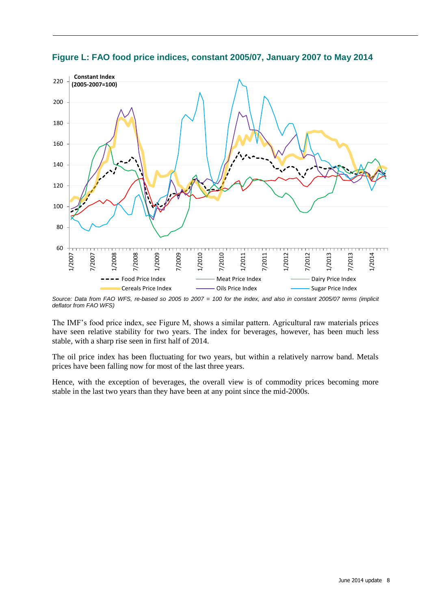

**Figure L: FAO food price indices, constant 2005/07, January 2007 to May 2014**

*Source: Data from FAO WFS, re-based so 2005 to 2007 = 100 for the index, and also in constant 2005/07 terms (implicit deflator from FAO WFS)*

The IMF's food price index, see Figure M, shows a similar pattern. Agricultural raw materials prices have seen relative stability for two years. The index for beverages, however, has been much less stable, with a sharp rise seen in first half of 2014.

The oil price index has been fluctuating for two years, but within a relatively narrow band. Metals prices have been falling now for most of the last three years.

Hence, with the exception of beverages, the overall view is of commodity prices becoming more stable in the last two years than they have been at any point since the mid-2000s.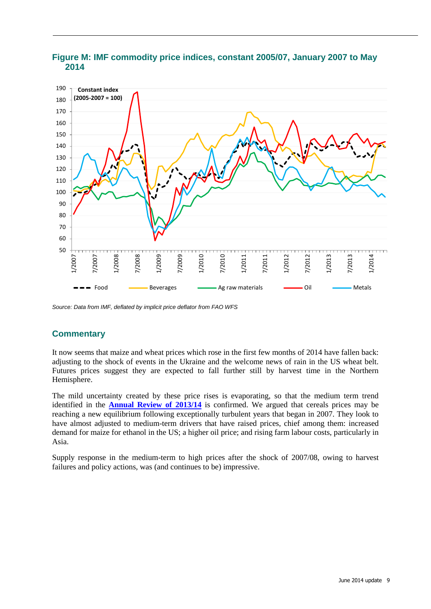

## **Figure M: IMF commodity price indices, constant 2005/07, January 2007 to May 2014**

*Source: Data from IMF, deflated by implicit price deflator from FAO WFS*

## <span id="page-10-0"></span>**Commentary**

It now seems that maize and wheat prices which rose in the first few months of 2014 have fallen back: adjusting to the shock of events in the Ukraine and the welcome news of rain in the US wheat belt. Futures prices suggest they are expected to fall further still by harvest time in the Northern Hemisphere.

The mild uncertainty created by these price rises is evaporating, so that the medium term trend identified in the **[Annual Review of 2013/14](http://www.odi.org/sites/odi.org.uk/files/odi-assets/publications-opinion-files/8976.pdf)** is confirmed. We argued that cereals prices may be reaching a new equilibrium following exceptionally turbulent years that began in 2007. They look to have almost adjusted to medium-term drivers that have raised prices, chief among them: increased demand for maize for ethanol in the US; a higher oil price; and rising farm labour costs, particularly in Asia.

Supply response in the medium-term to high prices after the shock of 2007/08, owing to harvest failures and policy actions, was (and continues to be) impressive.